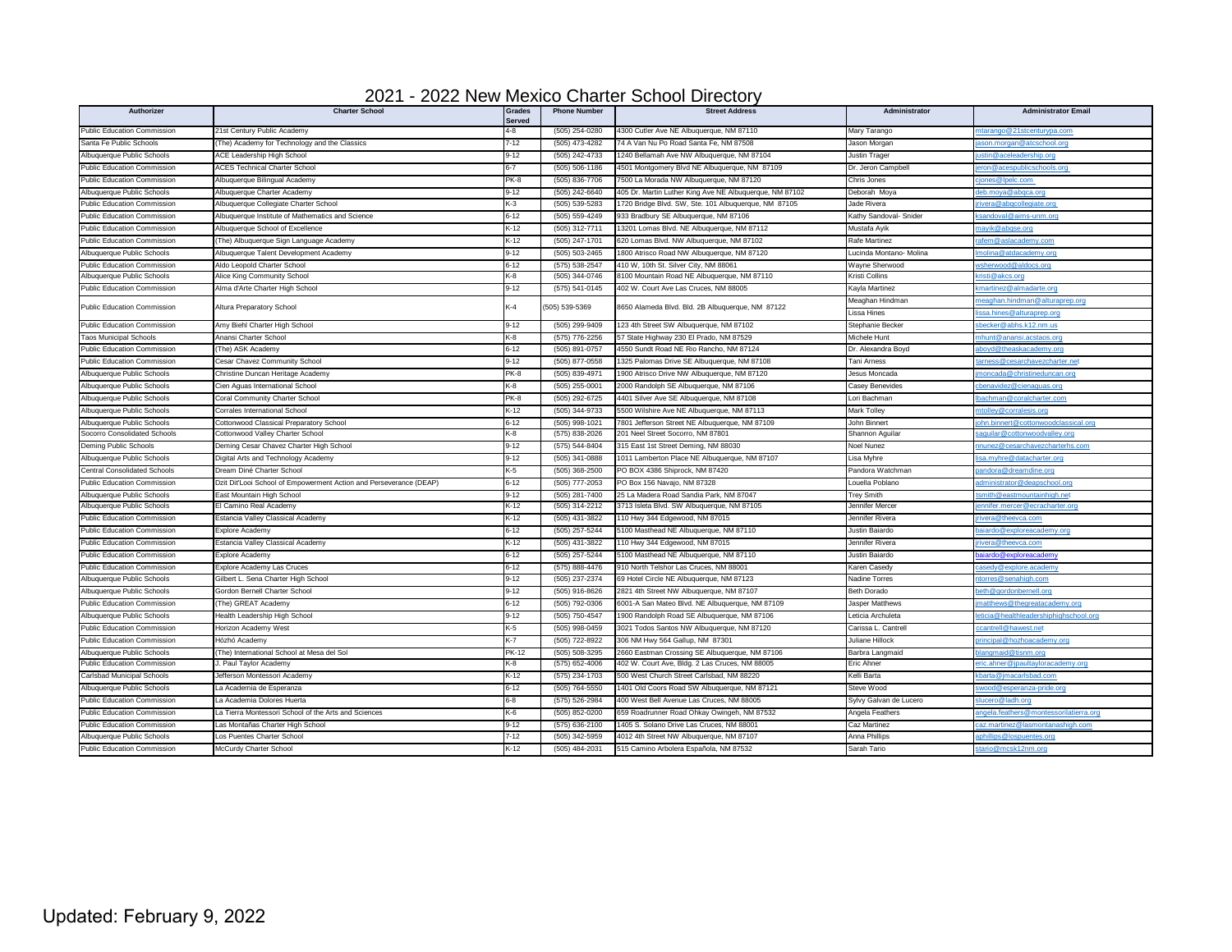| 2021 - 2022 New Mexico Charter School Directory |  |  |
|-------------------------------------------------|--|--|
|                                                 |  |  |

| <b>Public Education Commission</b><br>21st Century Public Academy<br>4-8<br>(505) 254-0280<br>4300 Cutler Ave NE Albuquerque, NM 87110<br>Mary Tarango<br>ntarango@21stcenturypa.com<br>Santa Fe Public Schools<br>74 A Van Nu Po Road Santa Fe, NM 87508<br>The) Academy for Technology and the Classics<br>7-12<br>(505) 473-4282<br>Jason Morgan<br>son.morgan@atcschool.org<br>Albuquerque Public Schools<br><b>ACE Leadership High School</b><br>$9-12$<br>(505) 242-4733<br>1240 Bellamah Ave NW Albuquerque, NM 87104<br>Justin Trager<br>stin@aceleadership.org<br><b>Public Education Commission</b><br>4501 Montgomery Blvd NE Albuquerque, NM 87109<br>ron@acespublicschools.org<br><b>ACES Technical Charter School</b><br>$6 - 7$<br>(505) 506-1186<br>Dr. Jeron Campbell<br>PK-8<br><b>Public Education Commission</b><br>(505) 836-7706<br>7500 La Morada NW Albuquerque, NM 87120<br>Chris Jones<br>Albuquerque Bilingual Academy<br>ones@lpelc.com<br>$9-12$<br>405 Dr. Martin Luther King Ave NE Albuquerque, NM 87102<br>Albuquerque Public Schools<br>Albuquerque Charter Academy<br>(505) 242-6640<br>Deborah Moya<br>eb.moya@abqca.org<br>1720 Bridge Blvd. SW, Ste. 101 Albuquerque, NM 87105<br>Public Education Commission<br>Albuquerque Collegiate Charter School<br>K-3<br>(505) 539-5283<br>Jade Rivera<br>ivera@abqcollegiate.org<br>(505) 559-4249<br><b>Public Education Commission</b><br>Albuquerque Institute of Mathematics and Science<br>6-12<br>933 Bradbury SE Albuquerque, NM 87106<br>Kathy Sandoval- Snider<br><u>sandoval@aims-unm.ord</u><br>$\leftarrow$ 12<br><b>Public Education Commission</b><br>Albuquerque School of Excellence<br>(505) 312-7711<br>13201 Lomas Blvd. NE Albuquerque, NM 87112<br>Mustafa Ayik<br>nayik@abqse.org<br><b>Public Education Commission</b><br>K-12<br>(505) 247-1701<br>620 Lomas Blvd. NW Albuquerque, NM 87102<br>Rafe Martinez<br>(The) Albuquerque Sign Language Academy<br>afem@aslacademy.com<br>9-12<br>(505) 503-2465<br>1800 Atrisco Road NW Albuquerque, NM 87120<br>Lucinda Montano- Molina<br>Albuquerque Public Schools<br>Albuquerque Talent Development Academy<br>nolina@atdacademy.org<br>410 W. 10th St. Silver City. NM 88061<br><b>Public Education Commission</b><br>Aldo Leopold Charter School<br>$6 - 12$<br>(575) 538-2547<br>Wavne Sherwood<br>sherwood@aldocs.org<br>Albuquerque Public Schools<br>Alice King Community School<br>⟨-8<br>(505) 344-0746<br>3100 Mountain Road NE Albuquerque, NM 87110<br>Kristi Collins<br>risti@akcs.org<br><b>Public Education Commission</b><br>Alma d'Arte Charter High School<br>$9-12$<br>(575) 541-0145<br>402 W. Court Ave Las Cruces, NM 88005<br>Kayla Martinez<br>martinez@almadarte.org<br>Meaghan Hindman<br>eaghan.hindman@alturaprep.org<br>$\left( -4 \right)$<br>505) 539-5369<br>8650 Alameda Blvd. Bld. 2B Albuquerque, NM 87122<br>Public Education Commission<br>Altura Preparatory School<br>Lissa Hines<br>sa.hines@alturaprep.org<br><b>Public Education Commission</b><br>Amy Biehl Charter High School<br>$9-12$<br>(505) 299-9409<br>123 4th Street SW Albuquerque, NM 87102<br>Stephanie Becker<br>becker@abhs.k12.nm.us<br><b>Taos Municipal Schools</b><br>Anansi Charter School<br>$\left( -8 \right)$<br>(575) 776-2256<br>57 State Highway 230 El Prado, NM 87529<br>Michele Hunt<br>hunt@anansi.acstaos.org<br>$6 - 12$<br><b>Public Education Commission</b><br>(505) 891-0757<br>4550 Sundt Road NE Rio Rancho, NM 87124<br>(The) ASK Academy<br>Dr. Alexandra Boyd<br>boyd@theaskacademy.ord<br><b>Public Education Commission</b><br>Cesar Chavez Community School<br>$9-12$<br>(505) 877-0558<br>1325 Palomas Drive SE Albuquerque, NM 87108<br>Tani Arness<br>arness@cesarchavezcharter.net<br>Albuquerque Public Schools<br>Christine Duncan Heritage Academy<br>PK-8<br>(505) 839-4971<br>1900 Atrisco Drive NW Albuquerque, NM 87120<br>Jesus Moncada<br>noncada@christineduncan.org<br>Albuquerque Public Schools<br>Cien Aguas International School<br>$\left\langle -8 \right\rangle$<br>(505) 255-0001<br>2000 Randolph SE Albuquerque, NM 87106<br>Casey Benevides<br>benavidez@cienaguas.org<br>Albuquerque Public Schools<br>Coral Community Charter School<br>PK-8<br>(505) 292-6725<br>4401 Silver Ave SE Albuquerque, NM 87108<br>Lori Bachman<br>achman@coralcharter.com<br>K-12<br>Albuquerque Public Schools<br>(505) 344-9733<br>5500 Wilshire Ave NE Albuquerque, NM 87113<br>Mark Tolley<br>Corrales International School<br>itolley@corralesis.org<br>Albuquerque Public Schools<br>Cottonwood Classical Preparatory School<br>$6 - 12$<br>(505) 998-1021<br>7801 Jefferson Street NE Albuguergue, NM 87109<br>John Binnert<br>hn.binnert@cottonwoodclassical.org<br>Socorro Consolidated Schools<br>⟨-8<br>(575) 838-2026<br>201 Neel Street Socorro, NM 87801<br>Cottonwood Valley Charter School<br>Shannon Aguilai<br>aguilar@cottonwoodvalley.org<br>Deming Public Schools<br>Deming Cesar Chavez Charter High School<br>$9-12$<br>(575) 544-8404<br>315 East 1st Street Deming, NM 88030<br>Noel Nunez<br>nnunez@cesarchavezcharterhs.com<br>$9-12$<br>(505) 341-0888<br>Albuquerque Public Schools<br>Digital Arts and Technology Academy<br>1011 Lamberton Place NE Albuquerque, NM 87107<br>Lisa Myhre<br><u>sa.myhre@datacharter.org</u><br>PO BOX 4386 Shiprock, NM 87420<br><b>Central Consolidated Schools</b><br>Dream Diné Charter School<br>K-5<br>(505) 368-2500<br>Pandora Watchman<br>andora@dreamdine.org<br><b>Public Education Commission</b><br>Dzit Dit'Looi School of Empowerment Action and Perseverance (DEAP)<br>$6 - 12$<br>(505) 777-2053<br>PO Box 156 Navajo, NM 87328<br>Louella Poblano<br>dministrator@deapschool.org<br>$9 - 12$<br>25 La Madera Road Sandia Park, NM 87047<br>Albuquerque Public Schools<br>East Mountain High School<br>(505) 281-7400<br><b>Trey Smith</b><br>mith@eastmountainhigh.ne<br>K-12<br>Albuquerque Public Schools<br>El Camino Real Academy<br>(505) 314-2212<br>3713 Isleta Blvd. SW Albuquerque, NM 87105<br>Jennifer Mercer<br><u>ennifer.mercer@ecracharter.org</u><br><b>Public Education Commission</b><br>Estancia Valley Classical Academy<br>K-12<br>(505) 431-3822<br>110 Hwy 344 Edgewood, NM 87015<br>Jennifer Rivera<br><u>ivera@theevca.com</u><br><b>Public Education Commission</b><br>Explore Academy<br>$6 - 12$<br>(505) 257-5244<br>5100 Masthead NE Albuquerque, NM 87110<br>Justin Baiardo<br>aiardo@exploreacademy.org<br>$\leftarrow$ 12<br>Estancia Valley Classical Academy<br>(505) 431-3822<br>110 Hwy 344 Edgewood, NM 87015<br><b>Public Education Commission</b><br>Jennifer Rivera<br><u>vera@theevca.com</u><br>$6 - 12$<br>(505) 257-5244<br>5100 Masthead NE Albuquerque, NM 87110<br><b>Public Education Commission</b><br>Explore Academy<br>Justin Baiardo<br>iardo@exploreacademy<br>$6 - 12$<br><b>Public Education Commission</b><br>Explore Academy Las Cruces<br>(575) 888-4476<br>910 North Telshor Las Cruces, NM 88001<br>Karen Casedy<br>asedy@explore.academy<br>Albuquerque Public Schools<br>Gilbert L. Sena Charter High School<br>9-12<br>(505) 237-2374<br>69 Hotel Circle NE Albuquerque, NM 87123<br>Nadine Torres<br>orres@senahigh.com<br><b>Gordon Bernell Charter School</b><br>$9-12$<br>(505) 916-8626<br>2821 4th Street NW Albuquerque, NM 87107<br>Albuquerque Public Schools<br>Beth Dorado<br>eth@gordonbernell.org |
|-------------------------------------------------------------------------------------------------------------------------------------------------------------------------------------------------------------------------------------------------------------------------------------------------------------------------------------------------------------------------------------------------------------------------------------------------------------------------------------------------------------------------------------------------------------------------------------------------------------------------------------------------------------------------------------------------------------------------------------------------------------------------------------------------------------------------------------------------------------------------------------------------------------------------------------------------------------------------------------------------------------------------------------------------------------------------------------------------------------------------------------------------------------------------------------------------------------------------------------------------------------------------------------------------------------------------------------------------------------------------------------------------------------------------------------------------------------------------------------------------------------------------------------------------------------------------------------------------------------------------------------------------------------------------------------------------------------------------------------------------------------------------------------------------------------------------------------------------------------------------------------------------------------------------------------------------------------------------------------------------------------------------------------------------------------------------------------------------------------------------------------------------------------------------------------------------------------------------------------------------------------------------------------------------------------------------------------------------------------------------------------------------------------------------------------------------------------------------------------------------------------------------------------------------------------------------------------------------------------------------------------------------------------------------------------------------------------------------------------------------------------------------------------------------------------------------------------------------------------------------------------------------------------------------------------------------------------------------------------------------------------------------------------------------------------------------------------------------------------------------------------------------------------------------------------------------------------------------------------------------------------------------------------------------------------------------------------------------------------------------------------------------------------------------------------------------------------------------------------------------------------------------------------------------------------------------------------------------------------------------------------------------------------------------------------------------------------------------------------------------------------------------------------------------------------------------------------------------------------------------------------------------------------------------------------------------------------------------------------------------------------------------------------------------------------------------------------------------------------------------------------------------------------------------------------------------------------------------------------------------------------------------------------------------------------------------------------------------------------------------------------------------------------------------------------------------------------------------------------------------------------------------------------------------------------------------------------------------------------------------------------------------------------------------------------------------------------------------------------------------------------------------------------------------------------------------------------------------------------------------------------------------------------------------------------------------------------------------------------------------------------------------------------------------------------------------------------------------------------------------------------------------------------------------------------------------------------------------------------------------------------------------------------------------------------------------------------------------------------------------------------------------------------------------------------------------------------------------------------------------------------------------------------------------------------------------------------------------------------------------------------------------------------------------------------------------------------------------------------------------------------------------------------------------------------------------------------------------------------------------------------------------------------------------------------------------------------------------------------------------------------------------------------------------------------------------------------------------------------------------------------------------------------------------------------------------------------------------------------------------------------------------------------------------------------------------------------------------------------------------------------------------------------------------------------------------------------------------------------------------------------------------------------------------------------------------------------------------------------------------------------------------------------------------------------------------------------------------------------------------------------------------------------------------------------------------------------------------------------------------------------------------------------------------------------------------------------------------------------------------------------------------------------------------------------------------------------------------------------------------------------------------------------------------------------------------------------------------------------------------------------------------------------------------------------------------------------------------------------------------------------------------------------------------------------------------------------------|
|                                                                                                                                                                                                                                                                                                                                                                                                                                                                                                                                                                                                                                                                                                                                                                                                                                                                                                                                                                                                                                                                                                                                                                                                                                                                                                                                                                                                                                                                                                                                                                                                                                                                                                                                                                                                                                                                                                                                                                                                                                                                                                                                                                                                                                                                                                                                                                                                                                                                                                                                                                                                                                                                                                                                                                                                                                                                                                                                                                                                                                                                                                                                                                                                                                                                                                                                                                                                                                                                                                                                                                                                                                                                                                                                                                                                                                                                                                                                                                                                                                                                                                                                                                                                                                                                                                                                                                                                                                                                                                                                                                                                                                                                                                                                                                                                                                                                                                                                                                                                                                                                                                                                                                                                                                                                                                                                                                                                                                                                                                                                                                                                                                                                                                                                                                                                                                                                                                                                                                                                                                                                                                                                                                                                                                                                                                                                                                                                                                                                                                                                                                                                                                                                                                                                                                                                                                                                                                                                                                                                                                                                                                                                                                                                                                                                                                                                                                                                                                                                   |
|                                                                                                                                                                                                                                                                                                                                                                                                                                                                                                                                                                                                                                                                                                                                                                                                                                                                                                                                                                                                                                                                                                                                                                                                                                                                                                                                                                                                                                                                                                                                                                                                                                                                                                                                                                                                                                                                                                                                                                                                                                                                                                                                                                                                                                                                                                                                                                                                                                                                                                                                                                                                                                                                                                                                                                                                                                                                                                                                                                                                                                                                                                                                                                                                                                                                                                                                                                                                                                                                                                                                                                                                                                                                                                                                                                                                                                                                                                                                                                                                                                                                                                                                                                                                                                                                                                                                                                                                                                                                                                                                                                                                                                                                                                                                                                                                                                                                                                                                                                                                                                                                                                                                                                                                                                                                                                                                                                                                                                                                                                                                                                                                                                                                                                                                                                                                                                                                                                                                                                                                                                                                                                                                                                                                                                                                                                                                                                                                                                                                                                                                                                                                                                                                                                                                                                                                                                                                                                                                                                                                                                                                                                                                                                                                                                                                                                                                                                                                                                                                   |
|                                                                                                                                                                                                                                                                                                                                                                                                                                                                                                                                                                                                                                                                                                                                                                                                                                                                                                                                                                                                                                                                                                                                                                                                                                                                                                                                                                                                                                                                                                                                                                                                                                                                                                                                                                                                                                                                                                                                                                                                                                                                                                                                                                                                                                                                                                                                                                                                                                                                                                                                                                                                                                                                                                                                                                                                                                                                                                                                                                                                                                                                                                                                                                                                                                                                                                                                                                                                                                                                                                                                                                                                                                                                                                                                                                                                                                                                                                                                                                                                                                                                                                                                                                                                                                                                                                                                                                                                                                                                                                                                                                                                                                                                                                                                                                                                                                                                                                                                                                                                                                                                                                                                                                                                                                                                                                                                                                                                                                                                                                                                                                                                                                                                                                                                                                                                                                                                                                                                                                                                                                                                                                                                                                                                                                                                                                                                                                                                                                                                                                                                                                                                                                                                                                                                                                                                                                                                                                                                                                                                                                                                                                                                                                                                                                                                                                                                                                                                                                                                   |
|                                                                                                                                                                                                                                                                                                                                                                                                                                                                                                                                                                                                                                                                                                                                                                                                                                                                                                                                                                                                                                                                                                                                                                                                                                                                                                                                                                                                                                                                                                                                                                                                                                                                                                                                                                                                                                                                                                                                                                                                                                                                                                                                                                                                                                                                                                                                                                                                                                                                                                                                                                                                                                                                                                                                                                                                                                                                                                                                                                                                                                                                                                                                                                                                                                                                                                                                                                                                                                                                                                                                                                                                                                                                                                                                                                                                                                                                                                                                                                                                                                                                                                                                                                                                                                                                                                                                                                                                                                                                                                                                                                                                                                                                                                                                                                                                                                                                                                                                                                                                                                                                                                                                                                                                                                                                                                                                                                                                                                                                                                                                                                                                                                                                                                                                                                                                                                                                                                                                                                                                                                                                                                                                                                                                                                                                                                                                                                                                                                                                                                                                                                                                                                                                                                                                                                                                                                                                                                                                                                                                                                                                                                                                                                                                                                                                                                                                                                                                                                                                   |
|                                                                                                                                                                                                                                                                                                                                                                                                                                                                                                                                                                                                                                                                                                                                                                                                                                                                                                                                                                                                                                                                                                                                                                                                                                                                                                                                                                                                                                                                                                                                                                                                                                                                                                                                                                                                                                                                                                                                                                                                                                                                                                                                                                                                                                                                                                                                                                                                                                                                                                                                                                                                                                                                                                                                                                                                                                                                                                                                                                                                                                                                                                                                                                                                                                                                                                                                                                                                                                                                                                                                                                                                                                                                                                                                                                                                                                                                                                                                                                                                                                                                                                                                                                                                                                                                                                                                                                                                                                                                                                                                                                                                                                                                                                                                                                                                                                                                                                                                                                                                                                                                                                                                                                                                                                                                                                                                                                                                                                                                                                                                                                                                                                                                                                                                                                                                                                                                                                                                                                                                                                                                                                                                                                                                                                                                                                                                                                                                                                                                                                                                                                                                                                                                                                                                                                                                                                                                                                                                                                                                                                                                                                                                                                                                                                                                                                                                                                                                                                                                   |
|                                                                                                                                                                                                                                                                                                                                                                                                                                                                                                                                                                                                                                                                                                                                                                                                                                                                                                                                                                                                                                                                                                                                                                                                                                                                                                                                                                                                                                                                                                                                                                                                                                                                                                                                                                                                                                                                                                                                                                                                                                                                                                                                                                                                                                                                                                                                                                                                                                                                                                                                                                                                                                                                                                                                                                                                                                                                                                                                                                                                                                                                                                                                                                                                                                                                                                                                                                                                                                                                                                                                                                                                                                                                                                                                                                                                                                                                                                                                                                                                                                                                                                                                                                                                                                                                                                                                                                                                                                                                                                                                                                                                                                                                                                                                                                                                                                                                                                                                                                                                                                                                                                                                                                                                                                                                                                                                                                                                                                                                                                                                                                                                                                                                                                                                                                                                                                                                                                                                                                                                                                                                                                                                                                                                                                                                                                                                                                                                                                                                                                                                                                                                                                                                                                                                                                                                                                                                                                                                                                                                                                                                                                                                                                                                                                                                                                                                                                                                                                                                   |
|                                                                                                                                                                                                                                                                                                                                                                                                                                                                                                                                                                                                                                                                                                                                                                                                                                                                                                                                                                                                                                                                                                                                                                                                                                                                                                                                                                                                                                                                                                                                                                                                                                                                                                                                                                                                                                                                                                                                                                                                                                                                                                                                                                                                                                                                                                                                                                                                                                                                                                                                                                                                                                                                                                                                                                                                                                                                                                                                                                                                                                                                                                                                                                                                                                                                                                                                                                                                                                                                                                                                                                                                                                                                                                                                                                                                                                                                                                                                                                                                                                                                                                                                                                                                                                                                                                                                                                                                                                                                                                                                                                                                                                                                                                                                                                                                                                                                                                                                                                                                                                                                                                                                                                                                                                                                                                                                                                                                                                                                                                                                                                                                                                                                                                                                                                                                                                                                                                                                                                                                                                                                                                                                                                                                                                                                                                                                                                                                                                                                                                                                                                                                                                                                                                                                                                                                                                                                                                                                                                                                                                                                                                                                                                                                                                                                                                                                                                                                                                                                   |
|                                                                                                                                                                                                                                                                                                                                                                                                                                                                                                                                                                                                                                                                                                                                                                                                                                                                                                                                                                                                                                                                                                                                                                                                                                                                                                                                                                                                                                                                                                                                                                                                                                                                                                                                                                                                                                                                                                                                                                                                                                                                                                                                                                                                                                                                                                                                                                                                                                                                                                                                                                                                                                                                                                                                                                                                                                                                                                                                                                                                                                                                                                                                                                                                                                                                                                                                                                                                                                                                                                                                                                                                                                                                                                                                                                                                                                                                                                                                                                                                                                                                                                                                                                                                                                                                                                                                                                                                                                                                                                                                                                                                                                                                                                                                                                                                                                                                                                                                                                                                                                                                                                                                                                                                                                                                                                                                                                                                                                                                                                                                                                                                                                                                                                                                                                                                                                                                                                                                                                                                                                                                                                                                                                                                                                                                                                                                                                                                                                                                                                                                                                                                                                                                                                                                                                                                                                                                                                                                                                                                                                                                                                                                                                                                                                                                                                                                                                                                                                                                   |
|                                                                                                                                                                                                                                                                                                                                                                                                                                                                                                                                                                                                                                                                                                                                                                                                                                                                                                                                                                                                                                                                                                                                                                                                                                                                                                                                                                                                                                                                                                                                                                                                                                                                                                                                                                                                                                                                                                                                                                                                                                                                                                                                                                                                                                                                                                                                                                                                                                                                                                                                                                                                                                                                                                                                                                                                                                                                                                                                                                                                                                                                                                                                                                                                                                                                                                                                                                                                                                                                                                                                                                                                                                                                                                                                                                                                                                                                                                                                                                                                                                                                                                                                                                                                                                                                                                                                                                                                                                                                                                                                                                                                                                                                                                                                                                                                                                                                                                                                                                                                                                                                                                                                                                                                                                                                                                                                                                                                                                                                                                                                                                                                                                                                                                                                                                                                                                                                                                                                                                                                                                                                                                                                                                                                                                                                                                                                                                                                                                                                                                                                                                                                                                                                                                                                                                                                                                                                                                                                                                                                                                                                                                                                                                                                                                                                                                                                                                                                                                                                   |
|                                                                                                                                                                                                                                                                                                                                                                                                                                                                                                                                                                                                                                                                                                                                                                                                                                                                                                                                                                                                                                                                                                                                                                                                                                                                                                                                                                                                                                                                                                                                                                                                                                                                                                                                                                                                                                                                                                                                                                                                                                                                                                                                                                                                                                                                                                                                                                                                                                                                                                                                                                                                                                                                                                                                                                                                                                                                                                                                                                                                                                                                                                                                                                                                                                                                                                                                                                                                                                                                                                                                                                                                                                                                                                                                                                                                                                                                                                                                                                                                                                                                                                                                                                                                                                                                                                                                                                                                                                                                                                                                                                                                                                                                                                                                                                                                                                                                                                                                                                                                                                                                                                                                                                                                                                                                                                                                                                                                                                                                                                                                                                                                                                                                                                                                                                                                                                                                                                                                                                                                                                                                                                                                                                                                                                                                                                                                                                                                                                                                                                                                                                                                                                                                                                                                                                                                                                                                                                                                                                                                                                                                                                                                                                                                                                                                                                                                                                                                                                                                   |
|                                                                                                                                                                                                                                                                                                                                                                                                                                                                                                                                                                                                                                                                                                                                                                                                                                                                                                                                                                                                                                                                                                                                                                                                                                                                                                                                                                                                                                                                                                                                                                                                                                                                                                                                                                                                                                                                                                                                                                                                                                                                                                                                                                                                                                                                                                                                                                                                                                                                                                                                                                                                                                                                                                                                                                                                                                                                                                                                                                                                                                                                                                                                                                                                                                                                                                                                                                                                                                                                                                                                                                                                                                                                                                                                                                                                                                                                                                                                                                                                                                                                                                                                                                                                                                                                                                                                                                                                                                                                                                                                                                                                                                                                                                                                                                                                                                                                                                                                                                                                                                                                                                                                                                                                                                                                                                                                                                                                                                                                                                                                                                                                                                                                                                                                                                                                                                                                                                                                                                                                                                                                                                                                                                                                                                                                                                                                                                                                                                                                                                                                                                                                                                                                                                                                                                                                                                                                                                                                                                                                                                                                                                                                                                                                                                                                                                                                                                                                                                                                   |
|                                                                                                                                                                                                                                                                                                                                                                                                                                                                                                                                                                                                                                                                                                                                                                                                                                                                                                                                                                                                                                                                                                                                                                                                                                                                                                                                                                                                                                                                                                                                                                                                                                                                                                                                                                                                                                                                                                                                                                                                                                                                                                                                                                                                                                                                                                                                                                                                                                                                                                                                                                                                                                                                                                                                                                                                                                                                                                                                                                                                                                                                                                                                                                                                                                                                                                                                                                                                                                                                                                                                                                                                                                                                                                                                                                                                                                                                                                                                                                                                                                                                                                                                                                                                                                                                                                                                                                                                                                                                                                                                                                                                                                                                                                                                                                                                                                                                                                                                                                                                                                                                                                                                                                                                                                                                                                                                                                                                                                                                                                                                                                                                                                                                                                                                                                                                                                                                                                                                                                                                                                                                                                                                                                                                                                                                                                                                                                                                                                                                                                                                                                                                                                                                                                                                                                                                                                                                                                                                                                                                                                                                                                                                                                                                                                                                                                                                                                                                                                                                   |
|                                                                                                                                                                                                                                                                                                                                                                                                                                                                                                                                                                                                                                                                                                                                                                                                                                                                                                                                                                                                                                                                                                                                                                                                                                                                                                                                                                                                                                                                                                                                                                                                                                                                                                                                                                                                                                                                                                                                                                                                                                                                                                                                                                                                                                                                                                                                                                                                                                                                                                                                                                                                                                                                                                                                                                                                                                                                                                                                                                                                                                                                                                                                                                                                                                                                                                                                                                                                                                                                                                                                                                                                                                                                                                                                                                                                                                                                                                                                                                                                                                                                                                                                                                                                                                                                                                                                                                                                                                                                                                                                                                                                                                                                                                                                                                                                                                                                                                                                                                                                                                                                                                                                                                                                                                                                                                                                                                                                                                                                                                                                                                                                                                                                                                                                                                                                                                                                                                                                                                                                                                                                                                                                                                                                                                                                                                                                                                                                                                                                                                                                                                                                                                                                                                                                                                                                                                                                                                                                                                                                                                                                                                                                                                                                                                                                                                                                                                                                                                                                   |
|                                                                                                                                                                                                                                                                                                                                                                                                                                                                                                                                                                                                                                                                                                                                                                                                                                                                                                                                                                                                                                                                                                                                                                                                                                                                                                                                                                                                                                                                                                                                                                                                                                                                                                                                                                                                                                                                                                                                                                                                                                                                                                                                                                                                                                                                                                                                                                                                                                                                                                                                                                                                                                                                                                                                                                                                                                                                                                                                                                                                                                                                                                                                                                                                                                                                                                                                                                                                                                                                                                                                                                                                                                                                                                                                                                                                                                                                                                                                                                                                                                                                                                                                                                                                                                                                                                                                                                                                                                                                                                                                                                                                                                                                                                                                                                                                                                                                                                                                                                                                                                                                                                                                                                                                                                                                                                                                                                                                                                                                                                                                                                                                                                                                                                                                                                                                                                                                                                                                                                                                                                                                                                                                                                                                                                                                                                                                                                                                                                                                                                                                                                                                                                                                                                                                                                                                                                                                                                                                                                                                                                                                                                                                                                                                                                                                                                                                                                                                                                                                   |
|                                                                                                                                                                                                                                                                                                                                                                                                                                                                                                                                                                                                                                                                                                                                                                                                                                                                                                                                                                                                                                                                                                                                                                                                                                                                                                                                                                                                                                                                                                                                                                                                                                                                                                                                                                                                                                                                                                                                                                                                                                                                                                                                                                                                                                                                                                                                                                                                                                                                                                                                                                                                                                                                                                                                                                                                                                                                                                                                                                                                                                                                                                                                                                                                                                                                                                                                                                                                                                                                                                                                                                                                                                                                                                                                                                                                                                                                                                                                                                                                                                                                                                                                                                                                                                                                                                                                                                                                                                                                                                                                                                                                                                                                                                                                                                                                                                                                                                                                                                                                                                                                                                                                                                                                                                                                                                                                                                                                                                                                                                                                                                                                                                                                                                                                                                                                                                                                                                                                                                                                                                                                                                                                                                                                                                                                                                                                                                                                                                                                                                                                                                                                                                                                                                                                                                                                                                                                                                                                                                                                                                                                                                                                                                                                                                                                                                                                                                                                                                                                   |
|                                                                                                                                                                                                                                                                                                                                                                                                                                                                                                                                                                                                                                                                                                                                                                                                                                                                                                                                                                                                                                                                                                                                                                                                                                                                                                                                                                                                                                                                                                                                                                                                                                                                                                                                                                                                                                                                                                                                                                                                                                                                                                                                                                                                                                                                                                                                                                                                                                                                                                                                                                                                                                                                                                                                                                                                                                                                                                                                                                                                                                                                                                                                                                                                                                                                                                                                                                                                                                                                                                                                                                                                                                                                                                                                                                                                                                                                                                                                                                                                                                                                                                                                                                                                                                                                                                                                                                                                                                                                                                                                                                                                                                                                                                                                                                                                                                                                                                                                                                                                                                                                                                                                                                                                                                                                                                                                                                                                                                                                                                                                                                                                                                                                                                                                                                                                                                                                                                                                                                                                                                                                                                                                                                                                                                                                                                                                                                                                                                                                                                                                                                                                                                                                                                                                                                                                                                                                                                                                                                                                                                                                                                                                                                                                                                                                                                                                                                                                                                                                   |
|                                                                                                                                                                                                                                                                                                                                                                                                                                                                                                                                                                                                                                                                                                                                                                                                                                                                                                                                                                                                                                                                                                                                                                                                                                                                                                                                                                                                                                                                                                                                                                                                                                                                                                                                                                                                                                                                                                                                                                                                                                                                                                                                                                                                                                                                                                                                                                                                                                                                                                                                                                                                                                                                                                                                                                                                                                                                                                                                                                                                                                                                                                                                                                                                                                                                                                                                                                                                                                                                                                                                                                                                                                                                                                                                                                                                                                                                                                                                                                                                                                                                                                                                                                                                                                                                                                                                                                                                                                                                                                                                                                                                                                                                                                                                                                                                                                                                                                                                                                                                                                                                                                                                                                                                                                                                                                                                                                                                                                                                                                                                                                                                                                                                                                                                                                                                                                                                                                                                                                                                                                                                                                                                                                                                                                                                                                                                                                                                                                                                                                                                                                                                                                                                                                                                                                                                                                                                                                                                                                                                                                                                                                                                                                                                                                                                                                                                                                                                                                                                   |
|                                                                                                                                                                                                                                                                                                                                                                                                                                                                                                                                                                                                                                                                                                                                                                                                                                                                                                                                                                                                                                                                                                                                                                                                                                                                                                                                                                                                                                                                                                                                                                                                                                                                                                                                                                                                                                                                                                                                                                                                                                                                                                                                                                                                                                                                                                                                                                                                                                                                                                                                                                                                                                                                                                                                                                                                                                                                                                                                                                                                                                                                                                                                                                                                                                                                                                                                                                                                                                                                                                                                                                                                                                                                                                                                                                                                                                                                                                                                                                                                                                                                                                                                                                                                                                                                                                                                                                                                                                                                                                                                                                                                                                                                                                                                                                                                                                                                                                                                                                                                                                                                                                                                                                                                                                                                                                                                                                                                                                                                                                                                                                                                                                                                                                                                                                                                                                                                                                                                                                                                                                                                                                                                                                                                                                                                                                                                                                                                                                                                                                                                                                                                                                                                                                                                                                                                                                                                                                                                                                                                                                                                                                                                                                                                                                                                                                                                                                                                                                                                   |
|                                                                                                                                                                                                                                                                                                                                                                                                                                                                                                                                                                                                                                                                                                                                                                                                                                                                                                                                                                                                                                                                                                                                                                                                                                                                                                                                                                                                                                                                                                                                                                                                                                                                                                                                                                                                                                                                                                                                                                                                                                                                                                                                                                                                                                                                                                                                                                                                                                                                                                                                                                                                                                                                                                                                                                                                                                                                                                                                                                                                                                                                                                                                                                                                                                                                                                                                                                                                                                                                                                                                                                                                                                                                                                                                                                                                                                                                                                                                                                                                                                                                                                                                                                                                                                                                                                                                                                                                                                                                                                                                                                                                                                                                                                                                                                                                                                                                                                                                                                                                                                                                                                                                                                                                                                                                                                                                                                                                                                                                                                                                                                                                                                                                                                                                                                                                                                                                                                                                                                                                                                                                                                                                                                                                                                                                                                                                                                                                                                                                                                                                                                                                                                                                                                                                                                                                                                                                                                                                                                                                                                                                                                                                                                                                                                                                                                                                                                                                                                                                   |
|                                                                                                                                                                                                                                                                                                                                                                                                                                                                                                                                                                                                                                                                                                                                                                                                                                                                                                                                                                                                                                                                                                                                                                                                                                                                                                                                                                                                                                                                                                                                                                                                                                                                                                                                                                                                                                                                                                                                                                                                                                                                                                                                                                                                                                                                                                                                                                                                                                                                                                                                                                                                                                                                                                                                                                                                                                                                                                                                                                                                                                                                                                                                                                                                                                                                                                                                                                                                                                                                                                                                                                                                                                                                                                                                                                                                                                                                                                                                                                                                                                                                                                                                                                                                                                                                                                                                                                                                                                                                                                                                                                                                                                                                                                                                                                                                                                                                                                                                                                                                                                                                                                                                                                                                                                                                                                                                                                                                                                                                                                                                                                                                                                                                                                                                                                                                                                                                                                                                                                                                                                                                                                                                                                                                                                                                                                                                                                                                                                                                                                                                                                                                                                                                                                                                                                                                                                                                                                                                                                                                                                                                                                                                                                                                                                                                                                                                                                                                                                                                   |
|                                                                                                                                                                                                                                                                                                                                                                                                                                                                                                                                                                                                                                                                                                                                                                                                                                                                                                                                                                                                                                                                                                                                                                                                                                                                                                                                                                                                                                                                                                                                                                                                                                                                                                                                                                                                                                                                                                                                                                                                                                                                                                                                                                                                                                                                                                                                                                                                                                                                                                                                                                                                                                                                                                                                                                                                                                                                                                                                                                                                                                                                                                                                                                                                                                                                                                                                                                                                                                                                                                                                                                                                                                                                                                                                                                                                                                                                                                                                                                                                                                                                                                                                                                                                                                                                                                                                                                                                                                                                                                                                                                                                                                                                                                                                                                                                                                                                                                                                                                                                                                                                                                                                                                                                                                                                                                                                                                                                                                                                                                                                                                                                                                                                                                                                                                                                                                                                                                                                                                                                                                                                                                                                                                                                                                                                                                                                                                                                                                                                                                                                                                                                                                                                                                                                                                                                                                                                                                                                                                                                                                                                                                                                                                                                                                                                                                                                                                                                                                                                   |
|                                                                                                                                                                                                                                                                                                                                                                                                                                                                                                                                                                                                                                                                                                                                                                                                                                                                                                                                                                                                                                                                                                                                                                                                                                                                                                                                                                                                                                                                                                                                                                                                                                                                                                                                                                                                                                                                                                                                                                                                                                                                                                                                                                                                                                                                                                                                                                                                                                                                                                                                                                                                                                                                                                                                                                                                                                                                                                                                                                                                                                                                                                                                                                                                                                                                                                                                                                                                                                                                                                                                                                                                                                                                                                                                                                                                                                                                                                                                                                                                                                                                                                                                                                                                                                                                                                                                                                                                                                                                                                                                                                                                                                                                                                                                                                                                                                                                                                                                                                                                                                                                                                                                                                                                                                                                                                                                                                                                                                                                                                                                                                                                                                                                                                                                                                                                                                                                                                                                                                                                                                                                                                                                                                                                                                                                                                                                                                                                                                                                                                                                                                                                                                                                                                                                                                                                                                                                                                                                                                                                                                                                                                                                                                                                                                                                                                                                                                                                                                                                   |
|                                                                                                                                                                                                                                                                                                                                                                                                                                                                                                                                                                                                                                                                                                                                                                                                                                                                                                                                                                                                                                                                                                                                                                                                                                                                                                                                                                                                                                                                                                                                                                                                                                                                                                                                                                                                                                                                                                                                                                                                                                                                                                                                                                                                                                                                                                                                                                                                                                                                                                                                                                                                                                                                                                                                                                                                                                                                                                                                                                                                                                                                                                                                                                                                                                                                                                                                                                                                                                                                                                                                                                                                                                                                                                                                                                                                                                                                                                                                                                                                                                                                                                                                                                                                                                                                                                                                                                                                                                                                                                                                                                                                                                                                                                                                                                                                                                                                                                                                                                                                                                                                                                                                                                                                                                                                                                                                                                                                                                                                                                                                                                                                                                                                                                                                                                                                                                                                                                                                                                                                                                                                                                                                                                                                                                                                                                                                                                                                                                                                                                                                                                                                                                                                                                                                                                                                                                                                                                                                                                                                                                                                                                                                                                                                                                                                                                                                                                                                                                                                   |
|                                                                                                                                                                                                                                                                                                                                                                                                                                                                                                                                                                                                                                                                                                                                                                                                                                                                                                                                                                                                                                                                                                                                                                                                                                                                                                                                                                                                                                                                                                                                                                                                                                                                                                                                                                                                                                                                                                                                                                                                                                                                                                                                                                                                                                                                                                                                                                                                                                                                                                                                                                                                                                                                                                                                                                                                                                                                                                                                                                                                                                                                                                                                                                                                                                                                                                                                                                                                                                                                                                                                                                                                                                                                                                                                                                                                                                                                                                                                                                                                                                                                                                                                                                                                                                                                                                                                                                                                                                                                                                                                                                                                                                                                                                                                                                                                                                                                                                                                                                                                                                                                                                                                                                                                                                                                                                                                                                                                                                                                                                                                                                                                                                                                                                                                                                                                                                                                                                                                                                                                                                                                                                                                                                                                                                                                                                                                                                                                                                                                                                                                                                                                                                                                                                                                                                                                                                                                                                                                                                                                                                                                                                                                                                                                                                                                                                                                                                                                                                                                   |
|                                                                                                                                                                                                                                                                                                                                                                                                                                                                                                                                                                                                                                                                                                                                                                                                                                                                                                                                                                                                                                                                                                                                                                                                                                                                                                                                                                                                                                                                                                                                                                                                                                                                                                                                                                                                                                                                                                                                                                                                                                                                                                                                                                                                                                                                                                                                                                                                                                                                                                                                                                                                                                                                                                                                                                                                                                                                                                                                                                                                                                                                                                                                                                                                                                                                                                                                                                                                                                                                                                                                                                                                                                                                                                                                                                                                                                                                                                                                                                                                                                                                                                                                                                                                                                                                                                                                                                                                                                                                                                                                                                                                                                                                                                                                                                                                                                                                                                                                                                                                                                                                                                                                                                                                                                                                                                                                                                                                                                                                                                                                                                                                                                                                                                                                                                                                                                                                                                                                                                                                                                                                                                                                                                                                                                                                                                                                                                                                                                                                                                                                                                                                                                                                                                                                                                                                                                                                                                                                                                                                                                                                                                                                                                                                                                                                                                                                                                                                                                                                   |
|                                                                                                                                                                                                                                                                                                                                                                                                                                                                                                                                                                                                                                                                                                                                                                                                                                                                                                                                                                                                                                                                                                                                                                                                                                                                                                                                                                                                                                                                                                                                                                                                                                                                                                                                                                                                                                                                                                                                                                                                                                                                                                                                                                                                                                                                                                                                                                                                                                                                                                                                                                                                                                                                                                                                                                                                                                                                                                                                                                                                                                                                                                                                                                                                                                                                                                                                                                                                                                                                                                                                                                                                                                                                                                                                                                                                                                                                                                                                                                                                                                                                                                                                                                                                                                                                                                                                                                                                                                                                                                                                                                                                                                                                                                                                                                                                                                                                                                                                                                                                                                                                                                                                                                                                                                                                                                                                                                                                                                                                                                                                                                                                                                                                                                                                                                                                                                                                                                                                                                                                                                                                                                                                                                                                                                                                                                                                                                                                                                                                                                                                                                                                                                                                                                                                                                                                                                                                                                                                                                                                                                                                                                                                                                                                                                                                                                                                                                                                                                                                   |
|                                                                                                                                                                                                                                                                                                                                                                                                                                                                                                                                                                                                                                                                                                                                                                                                                                                                                                                                                                                                                                                                                                                                                                                                                                                                                                                                                                                                                                                                                                                                                                                                                                                                                                                                                                                                                                                                                                                                                                                                                                                                                                                                                                                                                                                                                                                                                                                                                                                                                                                                                                                                                                                                                                                                                                                                                                                                                                                                                                                                                                                                                                                                                                                                                                                                                                                                                                                                                                                                                                                                                                                                                                                                                                                                                                                                                                                                                                                                                                                                                                                                                                                                                                                                                                                                                                                                                                                                                                                                                                                                                                                                                                                                                                                                                                                                                                                                                                                                                                                                                                                                                                                                                                                                                                                                                                                                                                                                                                                                                                                                                                                                                                                                                                                                                                                                                                                                                                                                                                                                                                                                                                                                                                                                                                                                                                                                                                                                                                                                                                                                                                                                                                                                                                                                                                                                                                                                                                                                                                                                                                                                                                                                                                                                                                                                                                                                                                                                                                                                   |
|                                                                                                                                                                                                                                                                                                                                                                                                                                                                                                                                                                                                                                                                                                                                                                                                                                                                                                                                                                                                                                                                                                                                                                                                                                                                                                                                                                                                                                                                                                                                                                                                                                                                                                                                                                                                                                                                                                                                                                                                                                                                                                                                                                                                                                                                                                                                                                                                                                                                                                                                                                                                                                                                                                                                                                                                                                                                                                                                                                                                                                                                                                                                                                                                                                                                                                                                                                                                                                                                                                                                                                                                                                                                                                                                                                                                                                                                                                                                                                                                                                                                                                                                                                                                                                                                                                                                                                                                                                                                                                                                                                                                                                                                                                                                                                                                                                                                                                                                                                                                                                                                                                                                                                                                                                                                                                                                                                                                                                                                                                                                                                                                                                                                                                                                                                                                                                                                                                                                                                                                                                                                                                                                                                                                                                                                                                                                                                                                                                                                                                                                                                                                                                                                                                                                                                                                                                                                                                                                                                                                                                                                                                                                                                                                                                                                                                                                                                                                                                                                   |
|                                                                                                                                                                                                                                                                                                                                                                                                                                                                                                                                                                                                                                                                                                                                                                                                                                                                                                                                                                                                                                                                                                                                                                                                                                                                                                                                                                                                                                                                                                                                                                                                                                                                                                                                                                                                                                                                                                                                                                                                                                                                                                                                                                                                                                                                                                                                                                                                                                                                                                                                                                                                                                                                                                                                                                                                                                                                                                                                                                                                                                                                                                                                                                                                                                                                                                                                                                                                                                                                                                                                                                                                                                                                                                                                                                                                                                                                                                                                                                                                                                                                                                                                                                                                                                                                                                                                                                                                                                                                                                                                                                                                                                                                                                                                                                                                                                                                                                                                                                                                                                                                                                                                                                                                                                                                                                                                                                                                                                                                                                                                                                                                                                                                                                                                                                                                                                                                                                                                                                                                                                                                                                                                                                                                                                                                                                                                                                                                                                                                                                                                                                                                                                                                                                                                                                                                                                                                                                                                                                                                                                                                                                                                                                                                                                                                                                                                                                                                                                                                   |
|                                                                                                                                                                                                                                                                                                                                                                                                                                                                                                                                                                                                                                                                                                                                                                                                                                                                                                                                                                                                                                                                                                                                                                                                                                                                                                                                                                                                                                                                                                                                                                                                                                                                                                                                                                                                                                                                                                                                                                                                                                                                                                                                                                                                                                                                                                                                                                                                                                                                                                                                                                                                                                                                                                                                                                                                                                                                                                                                                                                                                                                                                                                                                                                                                                                                                                                                                                                                                                                                                                                                                                                                                                                                                                                                                                                                                                                                                                                                                                                                                                                                                                                                                                                                                                                                                                                                                                                                                                                                                                                                                                                                                                                                                                                                                                                                                                                                                                                                                                                                                                                                                                                                                                                                                                                                                                                                                                                                                                                                                                                                                                                                                                                                                                                                                                                                                                                                                                                                                                                                                                                                                                                                                                                                                                                                                                                                                                                                                                                                                                                                                                                                                                                                                                                                                                                                                                                                                                                                                                                                                                                                                                                                                                                                                                                                                                                                                                                                                                                                   |
|                                                                                                                                                                                                                                                                                                                                                                                                                                                                                                                                                                                                                                                                                                                                                                                                                                                                                                                                                                                                                                                                                                                                                                                                                                                                                                                                                                                                                                                                                                                                                                                                                                                                                                                                                                                                                                                                                                                                                                                                                                                                                                                                                                                                                                                                                                                                                                                                                                                                                                                                                                                                                                                                                                                                                                                                                                                                                                                                                                                                                                                                                                                                                                                                                                                                                                                                                                                                                                                                                                                                                                                                                                                                                                                                                                                                                                                                                                                                                                                                                                                                                                                                                                                                                                                                                                                                                                                                                                                                                                                                                                                                                                                                                                                                                                                                                                                                                                                                                                                                                                                                                                                                                                                                                                                                                                                                                                                                                                                                                                                                                                                                                                                                                                                                                                                                                                                                                                                                                                                                                                                                                                                                                                                                                                                                                                                                                                                                                                                                                                                                                                                                                                                                                                                                                                                                                                                                                                                                                                                                                                                                                                                                                                                                                                                                                                                                                                                                                                                                   |
|                                                                                                                                                                                                                                                                                                                                                                                                                                                                                                                                                                                                                                                                                                                                                                                                                                                                                                                                                                                                                                                                                                                                                                                                                                                                                                                                                                                                                                                                                                                                                                                                                                                                                                                                                                                                                                                                                                                                                                                                                                                                                                                                                                                                                                                                                                                                                                                                                                                                                                                                                                                                                                                                                                                                                                                                                                                                                                                                                                                                                                                                                                                                                                                                                                                                                                                                                                                                                                                                                                                                                                                                                                                                                                                                                                                                                                                                                                                                                                                                                                                                                                                                                                                                                                                                                                                                                                                                                                                                                                                                                                                                                                                                                                                                                                                                                                                                                                                                                                                                                                                                                                                                                                                                                                                                                                                                                                                                                                                                                                                                                                                                                                                                                                                                                                                                                                                                                                                                                                                                                                                                                                                                                                                                                                                                                                                                                                                                                                                                                                                                                                                                                                                                                                                                                                                                                                                                                                                                                                                                                                                                                                                                                                                                                                                                                                                                                                                                                                                                   |
|                                                                                                                                                                                                                                                                                                                                                                                                                                                                                                                                                                                                                                                                                                                                                                                                                                                                                                                                                                                                                                                                                                                                                                                                                                                                                                                                                                                                                                                                                                                                                                                                                                                                                                                                                                                                                                                                                                                                                                                                                                                                                                                                                                                                                                                                                                                                                                                                                                                                                                                                                                                                                                                                                                                                                                                                                                                                                                                                                                                                                                                                                                                                                                                                                                                                                                                                                                                                                                                                                                                                                                                                                                                                                                                                                                                                                                                                                                                                                                                                                                                                                                                                                                                                                                                                                                                                                                                                                                                                                                                                                                                                                                                                                                                                                                                                                                                                                                                                                                                                                                                                                                                                                                                                                                                                                                                                                                                                                                                                                                                                                                                                                                                                                                                                                                                                                                                                                                                                                                                                                                                                                                                                                                                                                                                                                                                                                                                                                                                                                                                                                                                                                                                                                                                                                                                                                                                                                                                                                                                                                                                                                                                                                                                                                                                                                                                                                                                                                                                                   |
|                                                                                                                                                                                                                                                                                                                                                                                                                                                                                                                                                                                                                                                                                                                                                                                                                                                                                                                                                                                                                                                                                                                                                                                                                                                                                                                                                                                                                                                                                                                                                                                                                                                                                                                                                                                                                                                                                                                                                                                                                                                                                                                                                                                                                                                                                                                                                                                                                                                                                                                                                                                                                                                                                                                                                                                                                                                                                                                                                                                                                                                                                                                                                                                                                                                                                                                                                                                                                                                                                                                                                                                                                                                                                                                                                                                                                                                                                                                                                                                                                                                                                                                                                                                                                                                                                                                                                                                                                                                                                                                                                                                                                                                                                                                                                                                                                                                                                                                                                                                                                                                                                                                                                                                                                                                                                                                                                                                                                                                                                                                                                                                                                                                                                                                                                                                                                                                                                                                                                                                                                                                                                                                                                                                                                                                                                                                                                                                                                                                                                                                                                                                                                                                                                                                                                                                                                                                                                                                                                                                                                                                                                                                                                                                                                                                                                                                                                                                                                                                                   |
|                                                                                                                                                                                                                                                                                                                                                                                                                                                                                                                                                                                                                                                                                                                                                                                                                                                                                                                                                                                                                                                                                                                                                                                                                                                                                                                                                                                                                                                                                                                                                                                                                                                                                                                                                                                                                                                                                                                                                                                                                                                                                                                                                                                                                                                                                                                                                                                                                                                                                                                                                                                                                                                                                                                                                                                                                                                                                                                                                                                                                                                                                                                                                                                                                                                                                                                                                                                                                                                                                                                                                                                                                                                                                                                                                                                                                                                                                                                                                                                                                                                                                                                                                                                                                                                                                                                                                                                                                                                                                                                                                                                                                                                                                                                                                                                                                                                                                                                                                                                                                                                                                                                                                                                                                                                                                                                                                                                                                                                                                                                                                                                                                                                                                                                                                                                                                                                                                                                                                                                                                                                                                                                                                                                                                                                                                                                                                                                                                                                                                                                                                                                                                                                                                                                                                                                                                                                                                                                                                                                                                                                                                                                                                                                                                                                                                                                                                                                                                                                                   |
|                                                                                                                                                                                                                                                                                                                                                                                                                                                                                                                                                                                                                                                                                                                                                                                                                                                                                                                                                                                                                                                                                                                                                                                                                                                                                                                                                                                                                                                                                                                                                                                                                                                                                                                                                                                                                                                                                                                                                                                                                                                                                                                                                                                                                                                                                                                                                                                                                                                                                                                                                                                                                                                                                                                                                                                                                                                                                                                                                                                                                                                                                                                                                                                                                                                                                                                                                                                                                                                                                                                                                                                                                                                                                                                                                                                                                                                                                                                                                                                                                                                                                                                                                                                                                                                                                                                                                                                                                                                                                                                                                                                                                                                                                                                                                                                                                                                                                                                                                                                                                                                                                                                                                                                                                                                                                                                                                                                                                                                                                                                                                                                                                                                                                                                                                                                                                                                                                                                                                                                                                                                                                                                                                                                                                                                                                                                                                                                                                                                                                                                                                                                                                                                                                                                                                                                                                                                                                                                                                                                                                                                                                                                                                                                                                                                                                                                                                                                                                                                                   |
|                                                                                                                                                                                                                                                                                                                                                                                                                                                                                                                                                                                                                                                                                                                                                                                                                                                                                                                                                                                                                                                                                                                                                                                                                                                                                                                                                                                                                                                                                                                                                                                                                                                                                                                                                                                                                                                                                                                                                                                                                                                                                                                                                                                                                                                                                                                                                                                                                                                                                                                                                                                                                                                                                                                                                                                                                                                                                                                                                                                                                                                                                                                                                                                                                                                                                                                                                                                                                                                                                                                                                                                                                                                                                                                                                                                                                                                                                                                                                                                                                                                                                                                                                                                                                                                                                                                                                                                                                                                                                                                                                                                                                                                                                                                                                                                                                                                                                                                                                                                                                                                                                                                                                                                                                                                                                                                                                                                                                                                                                                                                                                                                                                                                                                                                                                                                                                                                                                                                                                                                                                                                                                                                                                                                                                                                                                                                                                                                                                                                                                                                                                                                                                                                                                                                                                                                                                                                                                                                                                                                                                                                                                                                                                                                                                                                                                                                                                                                                                                                   |
|                                                                                                                                                                                                                                                                                                                                                                                                                                                                                                                                                                                                                                                                                                                                                                                                                                                                                                                                                                                                                                                                                                                                                                                                                                                                                                                                                                                                                                                                                                                                                                                                                                                                                                                                                                                                                                                                                                                                                                                                                                                                                                                                                                                                                                                                                                                                                                                                                                                                                                                                                                                                                                                                                                                                                                                                                                                                                                                                                                                                                                                                                                                                                                                                                                                                                                                                                                                                                                                                                                                                                                                                                                                                                                                                                                                                                                                                                                                                                                                                                                                                                                                                                                                                                                                                                                                                                                                                                                                                                                                                                                                                                                                                                                                                                                                                                                                                                                                                                                                                                                                                                                                                                                                                                                                                                                                                                                                                                                                                                                                                                                                                                                                                                                                                                                                                                                                                                                                                                                                                                                                                                                                                                                                                                                                                                                                                                                                                                                                                                                                                                                                                                                                                                                                                                                                                                                                                                                                                                                                                                                                                                                                                                                                                                                                                                                                                                                                                                                                                   |
|                                                                                                                                                                                                                                                                                                                                                                                                                                                                                                                                                                                                                                                                                                                                                                                                                                                                                                                                                                                                                                                                                                                                                                                                                                                                                                                                                                                                                                                                                                                                                                                                                                                                                                                                                                                                                                                                                                                                                                                                                                                                                                                                                                                                                                                                                                                                                                                                                                                                                                                                                                                                                                                                                                                                                                                                                                                                                                                                                                                                                                                                                                                                                                                                                                                                                                                                                                                                                                                                                                                                                                                                                                                                                                                                                                                                                                                                                                                                                                                                                                                                                                                                                                                                                                                                                                                                                                                                                                                                                                                                                                                                                                                                                                                                                                                                                                                                                                                                                                                                                                                                                                                                                                                                                                                                                                                                                                                                                                                                                                                                                                                                                                                                                                                                                                                                                                                                                                                                                                                                                                                                                                                                                                                                                                                                                                                                                                                                                                                                                                                                                                                                                                                                                                                                                                                                                                                                                                                                                                                                                                                                                                                                                                                                                                                                                                                                                                                                                                                                   |
| <b>Public Education Commission</b><br>(The) GREAT Academy<br>$6 - 12$<br>(505) 792-0306<br>6001-A San Mateo Blvd. NE Albuquerque, NM 87109<br>Jasper Matthews<br>natthews@thegreatacademy.org                                                                                                                                                                                                                                                                                                                                                                                                                                                                                                                                                                                                                                                                                                                                                                                                                                                                                                                                                                                                                                                                                                                                                                                                                                                                                                                                                                                                                                                                                                                                                                                                                                                                                                                                                                                                                                                                                                                                                                                                                                                                                                                                                                                                                                                                                                                                                                                                                                                                                                                                                                                                                                                                                                                                                                                                                                                                                                                                                                                                                                                                                                                                                                                                                                                                                                                                                                                                                                                                                                                                                                                                                                                                                                                                                                                                                                                                                                                                                                                                                                                                                                                                                                                                                                                                                                                                                                                                                                                                                                                                                                                                                                                                                                                                                                                                                                                                                                                                                                                                                                                                                                                                                                                                                                                                                                                                                                                                                                                                                                                                                                                                                                                                                                                                                                                                                                                                                                                                                                                                                                                                                                                                                                                                                                                                                                                                                                                                                                                                                                                                                                                                                                                                                                                                                                                                                                                                                                                                                                                                                                                                                                                                                                                                                                                                     |
| Albuquerque Public Schools<br>Health Leadership High School<br>$9-12$<br>(505) 750-4547<br>1900 Randolph Road SE Albuquerque, NM 87106<br>Leticia Archuleta<br>ticia@healthleadershiphighschool.org                                                                                                                                                                                                                                                                                                                                                                                                                                                                                                                                                                                                                                                                                                                                                                                                                                                                                                                                                                                                                                                                                                                                                                                                                                                                                                                                                                                                                                                                                                                                                                                                                                                                                                                                                                                                                                                                                                                                                                                                                                                                                                                                                                                                                                                                                                                                                                                                                                                                                                                                                                                                                                                                                                                                                                                                                                                                                                                                                                                                                                                                                                                                                                                                                                                                                                                                                                                                                                                                                                                                                                                                                                                                                                                                                                                                                                                                                                                                                                                                                                                                                                                                                                                                                                                                                                                                                                                                                                                                                                                                                                                                                                                                                                                                                                                                                                                                                                                                                                                                                                                                                                                                                                                                                                                                                                                                                                                                                                                                                                                                                                                                                                                                                                                                                                                                                                                                                                                                                                                                                                                                                                                                                                                                                                                                                                                                                                                                                                                                                                                                                                                                                                                                                                                                                                                                                                                                                                                                                                                                                                                                                                                                                                                                                                                               |
| K-5<br>(505) 998-0459<br>3021 Todos Santos NW Albuquerque, NM 87120<br>Carissa L. Cantrell<br><b>Public Education Commission</b><br>Horizon Academy West<br><u>cantrell@hawest.ne</u> t                                                                                                                                                                                                                                                                                                                                                                                                                                                                                                                                                                                                                                                                                                                                                                                                                                                                                                                                                                                                                                                                                                                                                                                                                                                                                                                                                                                                                                                                                                                                                                                                                                                                                                                                                                                                                                                                                                                                                                                                                                                                                                                                                                                                                                                                                                                                                                                                                                                                                                                                                                                                                                                                                                                                                                                                                                                                                                                                                                                                                                                                                                                                                                                                                                                                                                                                                                                                                                                                                                                                                                                                                                                                                                                                                                                                                                                                                                                                                                                                                                                                                                                                                                                                                                                                                                                                                                                                                                                                                                                                                                                                                                                                                                                                                                                                                                                                                                                                                                                                                                                                                                                                                                                                                                                                                                                                                                                                                                                                                                                                                                                                                                                                                                                                                                                                                                                                                                                                                                                                                                                                                                                                                                                                                                                                                                                                                                                                                                                                                                                                                                                                                                                                                                                                                                                                                                                                                                                                                                                                                                                                                                                                                                                                                                                                           |
| <b>Public Education Commission</b><br>K-7<br>(505) 722-8922<br>306 NM Hwy 564 Gallup, NM 87301<br>Juliane Hillock<br>Hózhó Academy<br>rincipal@hozhoacademy.org                                                                                                                                                                                                                                                                                                                                                                                                                                                                                                                                                                                                                                                                                                                                                                                                                                                                                                                                                                                                                                                                                                                                                                                                                                                                                                                                                                                                                                                                                                                                                                                                                                                                                                                                                                                                                                                                                                                                                                                                                                                                                                                                                                                                                                                                                                                                                                                                                                                                                                                                                                                                                                                                                                                                                                                                                                                                                                                                                                                                                                                                                                                                                                                                                                                                                                                                                                                                                                                                                                                                                                                                                                                                                                                                                                                                                                                                                                                                                                                                                                                                                                                                                                                                                                                                                                                                                                                                                                                                                                                                                                                                                                                                                                                                                                                                                                                                                                                                                                                                                                                                                                                                                                                                                                                                                                                                                                                                                                                                                                                                                                                                                                                                                                                                                                                                                                                                                                                                                                                                                                                                                                                                                                                                                                                                                                                                                                                                                                                                                                                                                                                                                                                                                                                                                                                                                                                                                                                                                                                                                                                                                                                                                                                                                                                                                                   |
| PK-12<br>Albuquerque Public Schools<br>(The) International School at Mesa del Sol<br>(505) 508-3295<br>2660 Eastman Crossing SE Albuquerque, NM 87106<br>Barbra Langmaid<br>angmaid@tisnm.org                                                                                                                                                                                                                                                                                                                                                                                                                                                                                                                                                                                                                                                                                                                                                                                                                                                                                                                                                                                                                                                                                                                                                                                                                                                                                                                                                                                                                                                                                                                                                                                                                                                                                                                                                                                                                                                                                                                                                                                                                                                                                                                                                                                                                                                                                                                                                                                                                                                                                                                                                                                                                                                                                                                                                                                                                                                                                                                                                                                                                                                                                                                                                                                                                                                                                                                                                                                                                                                                                                                                                                                                                                                                                                                                                                                                                                                                                                                                                                                                                                                                                                                                                                                                                                                                                                                                                                                                                                                                                                                                                                                                                                                                                                                                                                                                                                                                                                                                                                                                                                                                                                                                                                                                                                                                                                                                                                                                                                                                                                                                                                                                                                                                                                                                                                                                                                                                                                                                                                                                                                                                                                                                                                                                                                                                                                                                                                                                                                                                                                                                                                                                                                                                                                                                                                                                                                                                                                                                                                                                                                                                                                                                                                                                                                                                     |
| <b>Public Education Commission</b><br>J. Paul Taylor Academy<br>K-8<br>(575) 652-4006<br>402 W. Court Ave, Bldg. 2 Las Cruces, NM 88005<br>Eric Ahner<br><u>ric.ahner@jpaultayloracademy.org</u>                                                                                                                                                                                                                                                                                                                                                                                                                                                                                                                                                                                                                                                                                                                                                                                                                                                                                                                                                                                                                                                                                                                                                                                                                                                                                                                                                                                                                                                                                                                                                                                                                                                                                                                                                                                                                                                                                                                                                                                                                                                                                                                                                                                                                                                                                                                                                                                                                                                                                                                                                                                                                                                                                                                                                                                                                                                                                                                                                                                                                                                                                                                                                                                                                                                                                                                                                                                                                                                                                                                                                                                                                                                                                                                                                                                                                                                                                                                                                                                                                                                                                                                                                                                                                                                                                                                                                                                                                                                                                                                                                                                                                                                                                                                                                                                                                                                                                                                                                                                                                                                                                                                                                                                                                                                                                                                                                                                                                                                                                                                                                                                                                                                                                                                                                                                                                                                                                                                                                                                                                                                                                                                                                                                                                                                                                                                                                                                                                                                                                                                                                                                                                                                                                                                                                                                                                                                                                                                                                                                                                                                                                                                                                                                                                                                                  |
| Carlsbad Municipal Schools<br>K-12<br>500 West Church Street Carlsbad, NM 88220<br><b>Kelli Barta</b><br>Jefferson Montessori Academy<br>(575) 234-1703<br>barta@jmacarlsbad.com                                                                                                                                                                                                                                                                                                                                                                                                                                                                                                                                                                                                                                                                                                                                                                                                                                                                                                                                                                                                                                                                                                                                                                                                                                                                                                                                                                                                                                                                                                                                                                                                                                                                                                                                                                                                                                                                                                                                                                                                                                                                                                                                                                                                                                                                                                                                                                                                                                                                                                                                                                                                                                                                                                                                                                                                                                                                                                                                                                                                                                                                                                                                                                                                                                                                                                                                                                                                                                                                                                                                                                                                                                                                                                                                                                                                                                                                                                                                                                                                                                                                                                                                                                                                                                                                                                                                                                                                                                                                                                                                                                                                                                                                                                                                                                                                                                                                                                                                                                                                                                                                                                                                                                                                                                                                                                                                                                                                                                                                                                                                                                                                                                                                                                                                                                                                                                                                                                                                                                                                                                                                                                                                                                                                                                                                                                                                                                                                                                                                                                                                                                                                                                                                                                                                                                                                                                                                                                                                                                                                                                                                                                                                                                                                                                                                                  |
| Albuquerque Public Schools<br>a Academia de Esperanza<br>$6 - 12$<br>(505) 764-5550<br>1401 Old Coors Road SW Albuquerque, NM 87121<br>Steve Wood<br>wood@esperanza-pride.org                                                                                                                                                                                                                                                                                                                                                                                                                                                                                                                                                                                                                                                                                                                                                                                                                                                                                                                                                                                                                                                                                                                                                                                                                                                                                                                                                                                                                                                                                                                                                                                                                                                                                                                                                                                                                                                                                                                                                                                                                                                                                                                                                                                                                                                                                                                                                                                                                                                                                                                                                                                                                                                                                                                                                                                                                                                                                                                                                                                                                                                                                                                                                                                                                                                                                                                                                                                                                                                                                                                                                                                                                                                                                                                                                                                                                                                                                                                                                                                                                                                                                                                                                                                                                                                                                                                                                                                                                                                                                                                                                                                                                                                                                                                                                                                                                                                                                                                                                                                                                                                                                                                                                                                                                                                                                                                                                                                                                                                                                                                                                                                                                                                                                                                                                                                                                                                                                                                                                                                                                                                                                                                                                                                                                                                                                                                                                                                                                                                                                                                                                                                                                                                                                                                                                                                                                                                                                                                                                                                                                                                                                                                                                                                                                                                                                     |
| $6 - 8$<br><b>Public Education Commission</b><br>La Academia Dolores Huerta<br>(575) 526-2984<br>400 West Bell Avenue Las Cruces, NM 88005<br>Sylvy Galvan de Lucero<br>ucero@ladh.org                                                                                                                                                                                                                                                                                                                                                                                                                                                                                                                                                                                                                                                                                                                                                                                                                                                                                                                                                                                                                                                                                                                                                                                                                                                                                                                                                                                                                                                                                                                                                                                                                                                                                                                                                                                                                                                                                                                                                                                                                                                                                                                                                                                                                                                                                                                                                                                                                                                                                                                                                                                                                                                                                                                                                                                                                                                                                                                                                                                                                                                                                                                                                                                                                                                                                                                                                                                                                                                                                                                                                                                                                                                                                                                                                                                                                                                                                                                                                                                                                                                                                                                                                                                                                                                                                                                                                                                                                                                                                                                                                                                                                                                                                                                                                                                                                                                                                                                                                                                                                                                                                                                                                                                                                                                                                                                                                                                                                                                                                                                                                                                                                                                                                                                                                                                                                                                                                                                                                                                                                                                                                                                                                                                                                                                                                                                                                                                                                                                                                                                                                                                                                                                                                                                                                                                                                                                                                                                                                                                                                                                                                                                                                                                                                                                                            |
| <b>Public Education Commission</b><br>La Tierra Montessori School of the Arts and Sciences<br>K-6<br>(505) 852-0200<br>659 Roadrunner Road Ohkay Owingeh, NM 87532<br>Angela Feathers<br>ngela.feathers@montessorilatierra.org                                                                                                                                                                                                                                                                                                                                                                                                                                                                                                                                                                                                                                                                                                                                                                                                                                                                                                                                                                                                                                                                                                                                                                                                                                                                                                                                                                                                                                                                                                                                                                                                                                                                                                                                                                                                                                                                                                                                                                                                                                                                                                                                                                                                                                                                                                                                                                                                                                                                                                                                                                                                                                                                                                                                                                                                                                                                                                                                                                                                                                                                                                                                                                                                                                                                                                                                                                                                                                                                                                                                                                                                                                                                                                                                                                                                                                                                                                                                                                                                                                                                                                                                                                                                                                                                                                                                                                                                                                                                                                                                                                                                                                                                                                                                                                                                                                                                                                                                                                                                                                                                                                                                                                                                                                                                                                                                                                                                                                                                                                                                                                                                                                                                                                                                                                                                                                                                                                                                                                                                                                                                                                                                                                                                                                                                                                                                                                                                                                                                                                                                                                                                                                                                                                                                                                                                                                                                                                                                                                                                                                                                                                                                                                                                                                    |
| Las Montañas Charter High School<br>$9-12$<br>1405 S. Solano Drive Las Cruces, NM 88001<br>Caz Martinez<br><b>Public Education Commission</b><br>(575) 636-2100<br>az.martinez@lasmontanashigh.com                                                                                                                                                                                                                                                                                                                                                                                                                                                                                                                                                                                                                                                                                                                                                                                                                                                                                                                                                                                                                                                                                                                                                                                                                                                                                                                                                                                                                                                                                                                                                                                                                                                                                                                                                                                                                                                                                                                                                                                                                                                                                                                                                                                                                                                                                                                                                                                                                                                                                                                                                                                                                                                                                                                                                                                                                                                                                                                                                                                                                                                                                                                                                                                                                                                                                                                                                                                                                                                                                                                                                                                                                                                                                                                                                                                                                                                                                                                                                                                                                                                                                                                                                                                                                                                                                                                                                                                                                                                                                                                                                                                                                                                                                                                                                                                                                                                                                                                                                                                                                                                                                                                                                                                                                                                                                                                                                                                                                                                                                                                                                                                                                                                                                                                                                                                                                                                                                                                                                                                                                                                                                                                                                                                                                                                                                                                                                                                                                                                                                                                                                                                                                                                                                                                                                                                                                                                                                                                                                                                                                                                                                                                                                                                                                                                                |
| Albuquerque Public Schools<br>Los Puentes Charter School<br>$7 - 12$<br>(505) 342-5959<br>4012 4th Street NW Albuquerque, NM 87107<br>Anna Phillips<br>phillips@lospuentes.org                                                                                                                                                                                                                                                                                                                                                                                                                                                                                                                                                                                                                                                                                                                                                                                                                                                                                                                                                                                                                                                                                                                                                                                                                                                                                                                                                                                                                                                                                                                                                                                                                                                                                                                                                                                                                                                                                                                                                                                                                                                                                                                                                                                                                                                                                                                                                                                                                                                                                                                                                                                                                                                                                                                                                                                                                                                                                                                                                                                                                                                                                                                                                                                                                                                                                                                                                                                                                                                                                                                                                                                                                                                                                                                                                                                                                                                                                                                                                                                                                                                                                                                                                                                                                                                                                                                                                                                                                                                                                                                                                                                                                                                                                                                                                                                                                                                                                                                                                                                                                                                                                                                                                                                                                                                                                                                                                                                                                                                                                                                                                                                                                                                                                                                                                                                                                                                                                                                                                                                                                                                                                                                                                                                                                                                                                                                                                                                                                                                                                                                                                                                                                                                                                                                                                                                                                                                                                                                                                                                                                                                                                                                                                                                                                                                                                    |
| $12$<br><b>Public Education Commission</b><br>McCurdy Charter School<br>(505) 484-2031<br>515 Camino Arbolera Española, NM 87532<br>Sarah Tario<br>tario@mcsk12nm.org                                                                                                                                                                                                                                                                                                                                                                                                                                                                                                                                                                                                                                                                                                                                                                                                                                                                                                                                                                                                                                                                                                                                                                                                                                                                                                                                                                                                                                                                                                                                                                                                                                                                                                                                                                                                                                                                                                                                                                                                                                                                                                                                                                                                                                                                                                                                                                                                                                                                                                                                                                                                                                                                                                                                                                                                                                                                                                                                                                                                                                                                                                                                                                                                                                                                                                                                                                                                                                                                                                                                                                                                                                                                                                                                                                                                                                                                                                                                                                                                                                                                                                                                                                                                                                                                                                                                                                                                                                                                                                                                                                                                                                                                                                                                                                                                                                                                                                                                                                                                                                                                                                                                                                                                                                                                                                                                                                                                                                                                                                                                                                                                                                                                                                                                                                                                                                                                                                                                                                                                                                                                                                                                                                                                                                                                                                                                                                                                                                                                                                                                                                                                                                                                                                                                                                                                                                                                                                                                                                                                                                                                                                                                                                                                                                                                                             |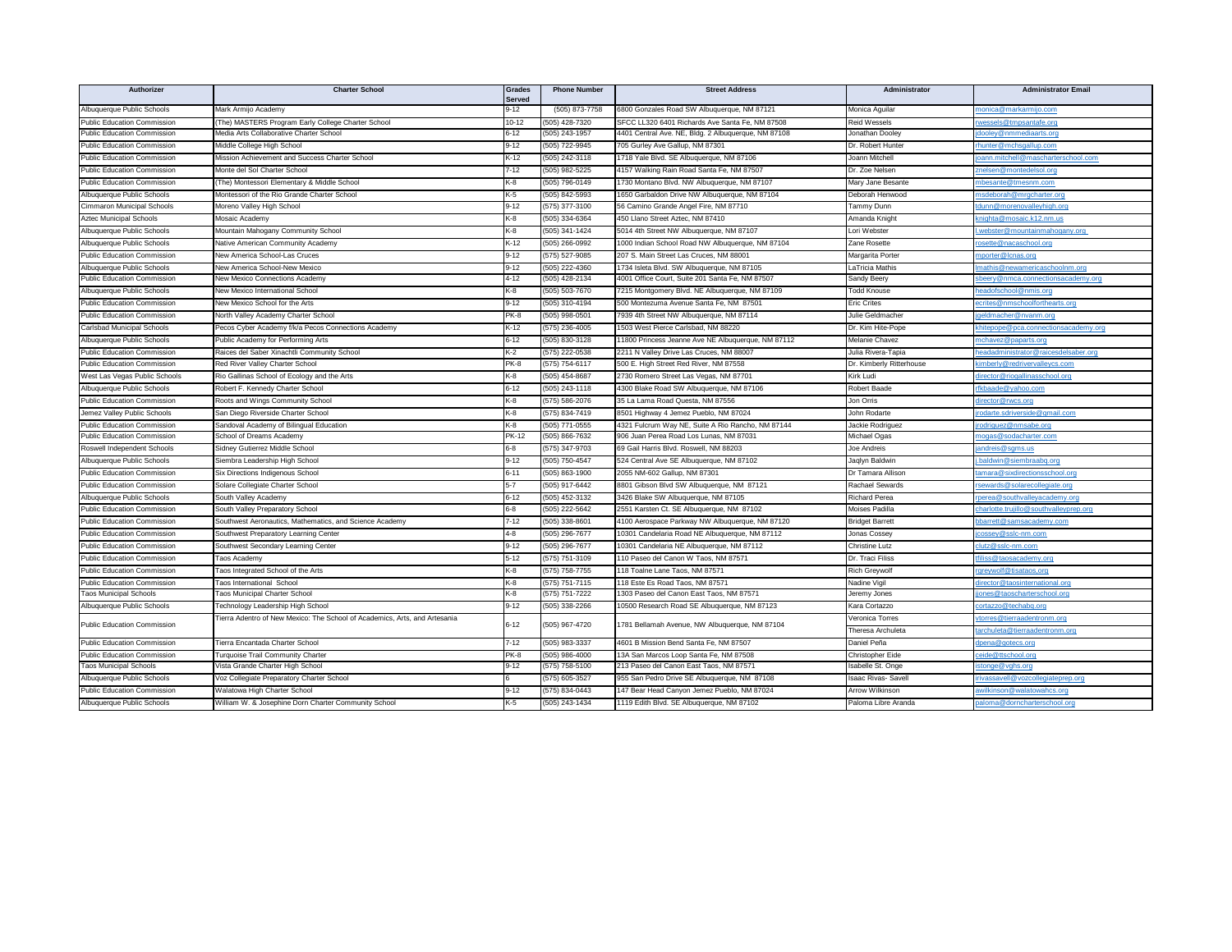| Authorizer                         | <b>Charter School</b>                                                      | Grades<br>Served | <b>Phone Number</b> | <b>Street Address</b>                               | Administrator            | <b>Administrator Email</b>            |
|------------------------------------|----------------------------------------------------------------------------|------------------|---------------------|-----------------------------------------------------|--------------------------|---------------------------------------|
| Albuquerque Public Schools         | Mark Armijo Academy                                                        | $9 - 12$         | (505) 873-7758      | 6800 Gonzales Road SW Albuquerque, NM 87121         | Monica Aguilar           | nonica@markarmijo.com                 |
| <b>Public Education Commission</b> | The) MASTERS Program Early College Charter School                          | $10 - 12$        | (505) 428-7320      | SFCC LL320 6401 Richards Ave Santa Fe, NM 87508     | <b>Reid Wessels</b>      | wessels@tmpsantafe.org                |
| Public Education Commission        | Media Arts Collaborative Charter School                                    | $6 - 12$         | (505) 243-1957      | 4401 Central Ave. NE, Bldg. 2 Albuquerque, NM 87108 | Jonathan Dooley          | <u>dooley@nmmediaarts.org</u>         |
| <b>Public Education Commission</b> | Middle College High School                                                 | $9-12$           | (505) 722-9945      | 705 Gurley Ave Gallup, NM 87301                     | Dr. Robert Hunter        | hunter@mchsgallup.com                 |
| <b>Public Education Commission</b> | Mission Achievement and Success Charter School                             | $K-12$           | (505) 242-3118      | 1718 Yale Blvd. SE Albuquerque, NM 87106            | Joann Mitchell           | bann.mitchell@mascharterschool.com    |
| <b>Public Education Commission</b> | Monte del Sol Charter School                                               | $7 - 12$         | (505) 982-5225      | 4157 Walking Rain Road Santa Fe, NM 87507           | Dr. Zoe Nelsen           | znelsen@montedelsol.org               |
| <b>Public Education Commission</b> | The) Montessori Elementary & Middle School                                 | K-8              | (505) 796-0149      | 1730 Montano Blvd. NW Albuquerque, NM 87107         | Mary Jane Besante        | nbesante@tmesnm.com                   |
| Albuquerque Public Schools         | Montessori of the Rio Grande Charter School                                | K-5              | (505) 842-5993      | 1650 Garbaldon Drive NW Albuquerque, NM 87104       | Deborah Henwood          | nsdeborah@mrgcharter.org              |
| Cimmaron Municipal Schools         | Moreno Valley High School                                                  | $9 - 12$         | (575) 377-3100      | 56 Camino Grande Angel Fire, NM 87710               | Tammy Dunn               | dunn@morenovalleyhigh.org             |
| <b>Aztec Municipal Schools</b>     | Mosaic Academy                                                             | K-8              | (505) 334-6364      | 450 Llano Street Aztec, NM 87410                    | Amanda Knight            | cnighta@mosaic.k12.nm.us              |
| Albuquerque Public Schools         | Mountain Mahogany Community School                                         | K-8              | (505) 341-1424      | 5014 4th Street NW Albuquerque, NM 87107            | Lori Webster             | webster@mountainmahogany.org          |
| Albuquerque Public Schools         | Vative American Community Academy                                          | $K-12$           | (505) 266-0992      | 1000 Indian School Road NW Albuquerque, NM 87104    | Zane Rosette             | osette@nacaschool.org                 |
| <b>Public Education Commission</b> | New America School-Las Cruces                                              | $9 - 12$         | (575) 527-9085      | 207 S. Main Street Las Cruces, NM 88001             | Margarita Porter         | nporter@lcnas.org                     |
| Albuquerque Public Schools         | <b>Vew America School-New Mexico</b>                                       | $9 - 12$         | (505) 222-4360      | 1734 Isleta Blvd. SW Albuquerque, NM 87105          | LaTricia Mathis          | <u>nathis@newamericaschoolnm.org</u>  |
| <b>Public Education Commission</b> | <b>New Mexico Connections Academy</b>                                      | $4 - 12$         | (505) 428-2134      | 4001 Office Court, Suite 201 Santa Fe, NM 87507     | Sandy Beery              | beery@nmca.connectionsacademy.org     |
| Albuquerque Public Schools         | <b>Jew Mexico International School</b>                                     | K-8              | (505) 503-7670      | 7215 Montgomery Blvd. NE Albuquerque, NM 87109      | <b>Todd Knouse</b>       | eadofschool@nmis.org                  |
| <b>Public Education Commission</b> | New Mexico School for the Arts                                             | $9 - 12$         | (505) 310-4194      | 500 Montezuma Avenue Santa Fe, NM 87501             | <b>Eric Crites</b>       | crites@nmschoolforthearts.org         |
| <b>Public Education Commission</b> | North Valley Academy Charter School                                        | PK-8             | (505) 998-0501      | 7939 4th Street NW Albuquerque, NM 87114            | Julie Geldmacher         | geldmacher@nvanm.org                  |
| Carlsbad Municipal Schools         | Pecos Cyber Academy f/k/a Pecos Connections Academy                        | $K-12$           | (575) 236-4005      | 1503 West Pierce Carlsbad, NM 88220                 | Dr. Kim Hite-Pope        | chitepope@pca.connectionsacademy.org  |
| Albuquerque Public Schools         | Public Academy for Performing Arts                                         | $6 - 12$         | (505) 830-3128      | 11800 Princess Jeanne Ave NE Albuquerque, NM 87112  | Melanie Chavez           | nchavez@paparts.org                   |
| <b>Public Education Commission</b> | Raices del Saber Xinachtli Community School                                | K-2              | (575) 222-0538      | 2211 N Valley Drive Las Cruces, NM 88007            | Julia Rivera-Tapia       | eadadministrator@raicesdelsaber.org   |
| <b>Public Education Commission</b> | Red River Valley Charter School                                            | PK-8             | (575) 754-6117      | 500 E. High Street Red River, NM 87558              | Dr. Kimberly Ritterhouse | imberly@redrivervalleycs.com          |
| West Las Vegas Public Schools      | Rio Gallinas School of Ecology and the Arts                                | K-8              | (505) 454-8687      | 2730 Romero Street Las Vegas, NM 87701              | Kirk Ludi                | lirector@riogallinasschool.org        |
| Albuquerque Public Schools         | Robert F. Kennedy Charter School                                           | $6 - 12$         | (505) 243-1118      | 4300 Blake Road SW Albuquerque, NM 87106            | Robert Baade             | fkbaade@yahoo.com                     |
| <b>Public Education Commission</b> | Roots and Wings Community School                                           | K-8              | (575) 586-2076      | 35 La Lama Road Questa, NM 87556                    | Jon Orris                | lirector@rwcs.org                     |
| Jemez Valley Public Schools        | San Diego Riverside Charter Schoo                                          | K-8              | (575) 834-7419      | 8501 Highway 4 Jemez Pueblo, NM 87024               | John Rodarte             | rodarte.sdriverside@gmail.com         |
| Public Education Commission        | Sandoval Academy of Bilingual Education                                    | K-8              | (505) 771-0555      | 4321 Fulcrum Way NE, Suite A Rio Rancho, NM 87144   | Jackie Rodriguez         | odriguez@nmsabe.org                   |
| <b>Public Education Commission</b> | School of Dreams Academy                                                   | <b>PK-12</b>     | (505) 866-7632      | 906 Juan Perea Road Los Lunas, NM 87031             | Michael Ogas             | <u>nogas@sodacharter.com</u>          |
| Roswell Independent Schools        | Sidney Gutierrez Middle School                                             | $6 - 8$          | (575) 347-9703      | 69 Gail Harris Blvd. Roswell, NM 88203              | Joe Andreis              | <u>andreis@sqms.us</u>                |
| Albuquerque Public Schools         | Siembra Leadership High School                                             | $9 - 12$         | (505) 750-4547      | 524 Central Ave SE Albuquerque, NM 87102            | Jaqlyn Baldwin           | baldwin@siembraabq.org                |
| <b>Public Education Commission</b> | Six Directions Indigenous School                                           | $6 - 11$         | (505) 863-1900      | 2055 NM-602 Gallup, NM 87301                        | Dr Tamara Allison        | amara@sixdirectionsschool.org         |
| <b>Public Education Commission</b> | Solare Collegiate Charter School                                           | $5 - 7$          | (505) 917-6442      | 8801 Gibson Blvd SW Albuquerque, NM 87121           | Rachael Sewards          | sewards@solarecollegiate.org          |
| Albuquerque Public Schools         | South Valley Academy                                                       | $6 - 12$         | (505) 452-3132      | 3426 Blake SW Albuquerque, NM 87105                 | Richard Perea            | perea@southvalleyacademy.org          |
| <b>Public Education Commission</b> | South Valley Preparatory School                                            | $6 - 8$          | (505) 222-5642      | 2551 Karsten Ct. SE Albuquerque, NM 87102           | Moises Padilla           | harlotte.trujillo@southvalleyprep.org |
| <b>Public Education Commission</b> | Southwest Aeronautics, Mathematics, and Science Academy                    | $7 - 12$         | (505) 338-8601      | 4100 Aerospace Parkway NW Albuquerque, NM 87120     | <b>Bridget Barrett</b>   | obarrett@samsacademy.com              |
| <b>Public Education Commission</b> | Southwest Preparatory Learning Center                                      | $4-8$            | (505) 296-7677      | 10301 Candelaria Road NE Albuquerque, NM 87112      | Jonas Cossey             | cossey@sslc-nm.com                    |
| <b>Public Education Commission</b> | Southwest Secondary Learning Center                                        | $9 - 12$         | (505) 296-7677      | 10301 Candelaria NE Albuquerque, NM 87112           | Christine Lutz           | clutz@sslc-nm.com                     |
| <b>Public Education Commission</b> | <b>Taos Academy</b>                                                        | $5 - 12$         | (575) 751-3109      | 110 Paseo del Canon W Taos, NM 87571                | Dr. Traci Filiss         | iliss@taosacademy.ord                 |
| <b>Public Education Commission</b> | <b>Taos Integrated School of the Arts</b>                                  | K-8              | (575) 758-7755      | 118 Toalne Lane Taos, NM 87571                      | <b>Rich Greywolf</b>     | greywolf@tisataos.org                 |
| <b>Public Education Commission</b> | Taos International School                                                  | K-8              | (575) 751-7115      | 118 Este Es Road Taos, NM 87571                     | Nadine Vigil             | lirector@taosinternational.org        |
| <b>Taos Municipal Schools</b>      | <b>Faos Municipal Charter School</b>                                       | K-8              | (575) 751-7222      | 1303 Paseo del Canon East Taos, NM 87571            | Jeremy Jones             | jones@taoscharterschool.org           |
| Albuquerque Public Schools         | <b>Fechnology Leadership High School</b>                                   | $9 - 12$         | (505) 338-2266      | 10500 Research Road SE Albuquerque, NM 87123        | Kara Cortazzo            | cortazzo@techabq.org                  |
|                                    | Tierra Adentro of New Mexico: The School of Academics, Arts, and Artesania |                  | (505) 967-4720      |                                                     | Veronica Torres          | torres@tierraadentronm.org            |
| <b>Public Education Commission</b> |                                                                            | $6 - 12$         |                     | 1781 Bellamah Avenue, NW Albuquerque, NM 87104      | Theresa Archuleta        | archuleta@tierraadentronm.org         |
| <b>Public Education Commission</b> | Tierra Encantada Charter School                                            | $7 - 12$         | $(505)$ 983-3337    | 4601 B Mission Bend Santa Fe, NM 87507              | Daniel Peña              | dpena@gotecs.org                      |
| <b>Public Education Commission</b> | Turquoise Trail Community Charter                                          | PK-8             | (505) 986-4000      | 13A San Marcos Loop Santa Fe, NM 87508              | Christopher Eide         | eide@ttschool.org                     |
| <b>Taos Municipal Schools</b>      | /ista Grande Charter High School                                           | $9-12$           | (575) 758-5100      | 213 Paseo del Canon East Taos, NM 87571             | Isabelle St. Onge        | stonge@vghs.org                       |
| Albuquerque Public Schools         | /oz Collegiate Preparatory Charter School                                  |                  | (575) 605-3527      | 955 San Pedro Drive SE Albuquerque, NM 87108        | saac Rivas- Savell       | ivassavell@vozcollegiateprep.org      |
| <b>Public Education Commission</b> | Walatowa High Charter School                                               | $9 - 12$         | (575) 834-0443      | 147 Bear Head Canyon Jemez Pueblo, NM 87024         | Arrow Wilkinson          | wilkinson@walatowahcs.org             |
| Albuquerque Public Schools         | William W. & Josephine Dorn Charter Community School                       | K-5              | (505) 243-1434      | 1119 Edith Blvd. SE Albuquerque, NM 87102           | Paloma Libre Aranda      | baloma@dorncharterschool.org          |
|                                    |                                                                            |                  |                     |                                                     |                          |                                       |